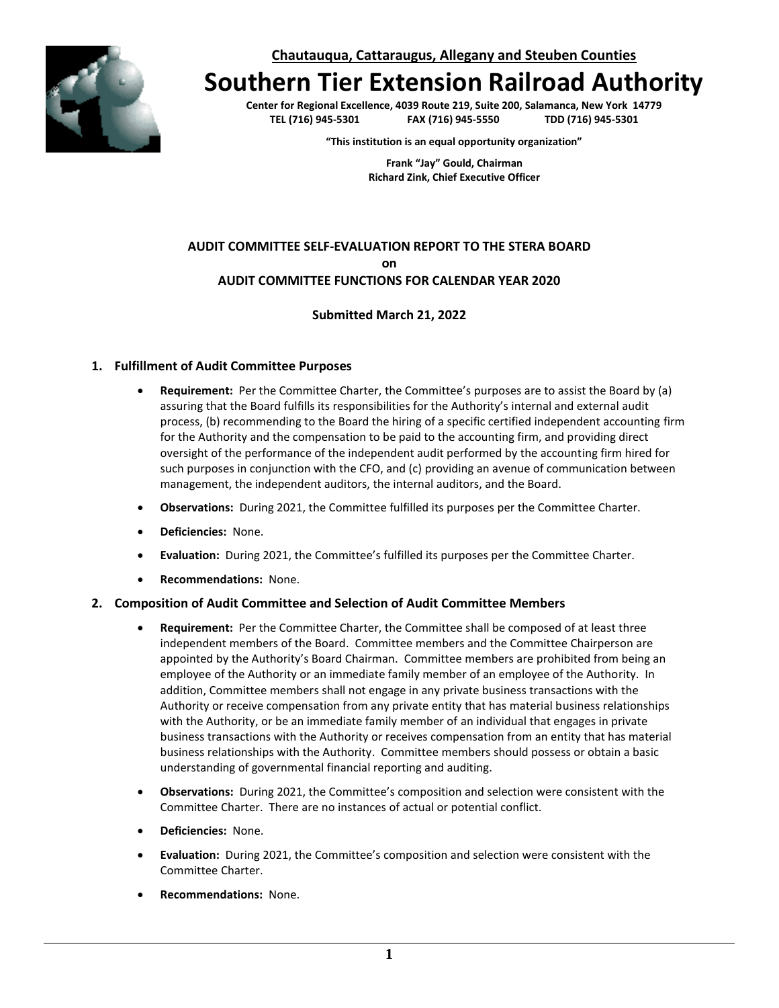**Chautauqua, Cattaraugus, Allegany and Steuben Counties**



# **Southern Tier Extension Railroad Authority**

**Center for Regional Excellence, 4039 Route 219, Suite 200, Salamanca, New York 14779 TEL (716) 945-5301 FAX (716) 945-5550 TDD (716) 945-5301**

**"This institution is an equal opportunity organization"**

**Frank "Jay" Gould, Chairman Richard Zink, Chief Executive Officer**

# **AUDIT COMMITTEE SELF-EVALUATION REPORT TO THE STERA BOARD on AUDIT COMMITTEE FUNCTIONS FOR CALENDAR YEAR 2020**

## **Submitted March 21, 2022**

#### **1. Fulfillment of Audit Committee Purposes**

- **Requirement:** Per the Committee Charter, the Committee's purposes are to assist the Board by (a) assuring that the Board fulfills its responsibilities for the Authority's internal and external audit process, (b) recommending to the Board the hiring of a specific certified independent accounting firm for the Authority and the compensation to be paid to the accounting firm, and providing direct oversight of the performance of the independent audit performed by the accounting firm hired for such purposes in conjunction with the CFO, and (c) providing an avenue of communication between management, the independent auditors, the internal auditors, and the Board.
- **Observations:** During 2021, the Committee fulfilled its purposes per the Committee Charter.
- **Deficiencies:** None.
- **Evaluation:** During 2021, the Committee's fulfilled its purposes per the Committee Charter.
- **Recommendations:** None.

#### **2. Composition of Audit Committee and Selection of Audit Committee Members**

- **Requirement:** Per the Committee Charter, the Committee shall be composed of at least three independent members of the Board. Committee members and the Committee Chairperson are appointed by the Authority's Board Chairman. Committee members are prohibited from being an employee of the Authority or an immediate family member of an employee of the Authority. In addition, Committee members shall not engage in any private business transactions with the Authority or receive compensation from any private entity that has material business relationships with the Authority, or be an immediate family member of an individual that engages in private business transactions with the Authority or receives compensation from an entity that has material business relationships with the Authority. Committee members should possess or obtain a basic understanding of governmental financial reporting and auditing.
- **Observations:** During 2021, the Committee's composition and selection were consistent with the Committee Charter. There are no instances of actual or potential conflict.
- **Deficiencies:** None.
- **Evaluation:** During 2021, the Committee's composition and selection were consistent with the Committee Charter.
- **Recommendations:** None.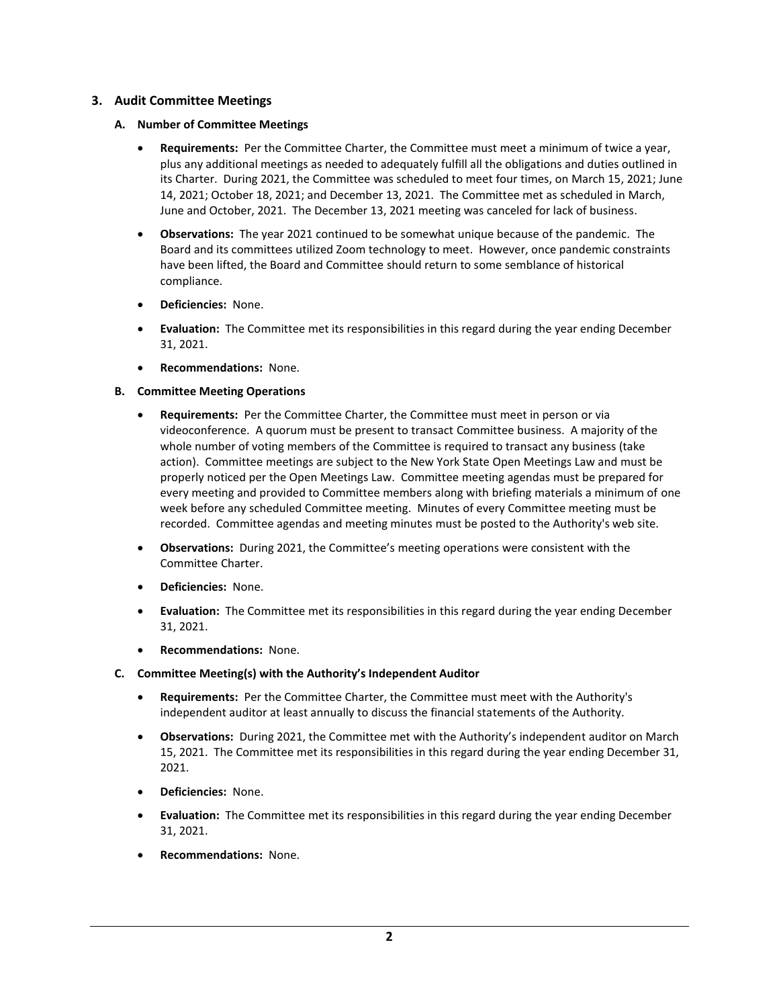# **3. Audit Committee Meetings**

## **A. Number of Committee Meetings**

- **Requirements:** Per the Committee Charter, the Committee must meet a minimum of twice a year, plus any additional meetings as needed to adequately fulfill all the obligations and duties outlined in its Charter. During 2021, the Committee was scheduled to meet four times, on March 15, 2021; June 14, 2021; October 18, 2021; and December 13, 2021. The Committee met as scheduled in March, June and October, 2021. The December 13, 2021 meeting was canceled for lack of business.
- **Observations:** The year 2021 continued to be somewhat unique because of the pandemic. The Board and its committees utilized Zoom technology to meet. However, once pandemic constraints have been lifted, the Board and Committee should return to some semblance of historical compliance.
- **Deficiencies:** None.
- **Evaluation:** The Committee met its responsibilities in this regard during the year ending December 31, 2021.
- **Recommendations:** None.

## **B. Committee Meeting Operations**

- **Requirements:** Per the Committee Charter, the Committee must meet in person or via videoconference. A quorum must be present to transact Committee business. A majority of the whole number of voting members of the Committee is required to transact any business (take action). Committee meetings are subject to the New York State Open Meetings Law and must be properly noticed per the Open Meetings Law. Committee meeting agendas must be prepared for every meeting and provided to Committee members along with briefing materials a minimum of one week before any scheduled Committee meeting. Minutes of every Committee meeting must be recorded. Committee agendas and meeting minutes must be posted to the Authority's web site.
- **Observations:** During 2021, the Committee's meeting operations were consistent with the Committee Charter.
- **Deficiencies:** None.
- **Evaluation:** The Committee met its responsibilities in this regard during the year ending December 31, 2021.
- **Recommendations:** None.

## **C. Committee Meeting(s) with the Authority's Independent Auditor**

- **Requirements:** Per the Committee Charter, the Committee must meet with the Authority's independent auditor at least annually to discuss the financial statements of the Authority.
- **Observations:** During 2021, the Committee met with the Authority's independent auditor on March 15, 2021. The Committee met its responsibilities in this regard during the year ending December 31, 2021.
- **Deficiencies:** None.
- **Evaluation:** The Committee met its responsibilities in this regard during the year ending December 31, 2021.
- **Recommendations:** None.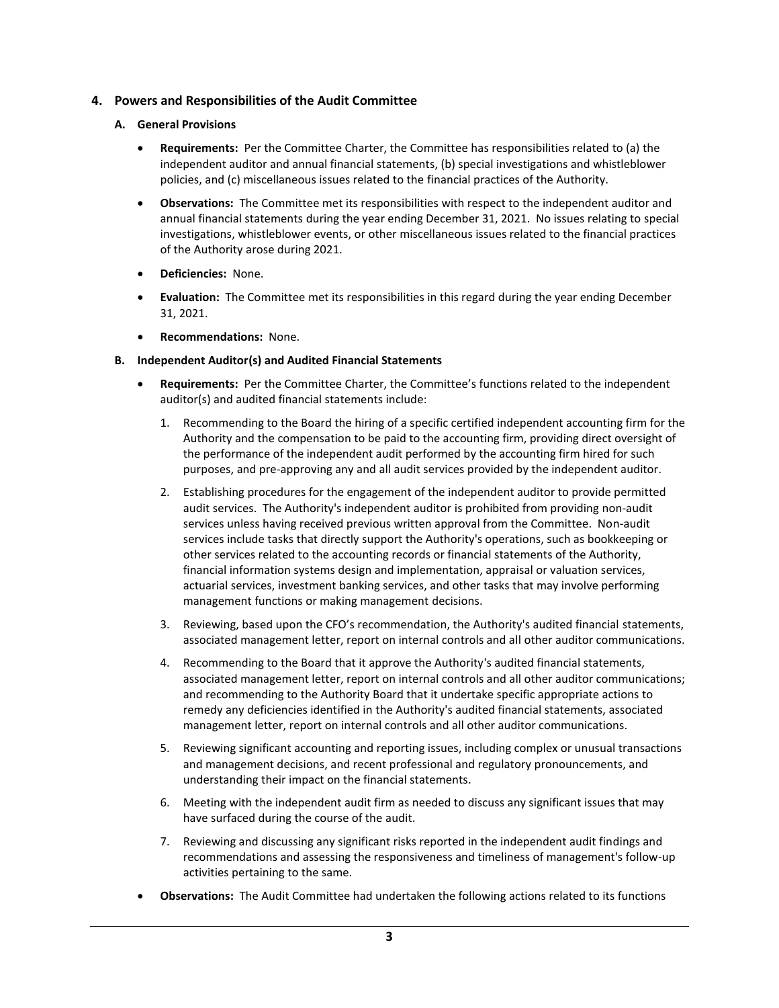# **4. Powers and Responsibilities of the Audit Committee**

#### **A. General Provisions**

- **Requirements:** Per the Committee Charter, the Committee has responsibilities related to (a) the independent auditor and annual financial statements, (b) special investigations and whistleblower policies, and (c) miscellaneous issues related to the financial practices of the Authority.
- **Observations:** The Committee met its responsibilities with respect to the independent auditor and annual financial statements during the year ending December 31, 2021. No issues relating to special investigations, whistleblower events, or other miscellaneous issues related to the financial practices of the Authority arose during 2021.
- **Deficiencies:** None.
- **Evaluation:** The Committee met its responsibilities in this regard during the year ending December 31, 2021.
- **Recommendations:** None.

#### **B. Independent Auditor(s) and Audited Financial Statements**

- **Requirements:** Per the Committee Charter, the Committee's functions related to the independent auditor(s) and audited financial statements include:
	- 1. Recommending to the Board the hiring of a specific certified independent accounting firm for the Authority and the compensation to be paid to the accounting firm, providing direct oversight of the performance of the independent audit performed by the accounting firm hired for such purposes, and pre-approving any and all audit services provided by the independent auditor.
	- 2. Establishing procedures for the engagement of the independent auditor to provide permitted audit services. The Authority's independent auditor is prohibited from providing non-audit services unless having received previous written approval from the Committee. Non-audit services include tasks that directly support the Authority's operations, such as bookkeeping or other services related to the accounting records or financial statements of the Authority, financial information systems design and implementation, appraisal or valuation services, actuarial services, investment banking services, and other tasks that may involve performing management functions or making management decisions.
	- 3. Reviewing, based upon the CFO's recommendation, the Authority's audited financial statements, associated management letter, report on internal controls and all other auditor communications.
	- 4. Recommending to the Board that it approve the Authority's audited financial statements, associated management letter, report on internal controls and all other auditor communications; and recommending to the Authority Board that it undertake specific appropriate actions to remedy any deficiencies identified in the Authority's audited financial statements, associated management letter, report on internal controls and all other auditor communications.
	- 5. Reviewing significant accounting and reporting issues, including complex or unusual transactions and management decisions, and recent professional and regulatory pronouncements, and understanding their impact on the financial statements.
	- 6. Meeting with the independent audit firm as needed to discuss any significant issues that may have surfaced during the course of the audit.
	- 7. Reviewing and discussing any significant risks reported in the independent audit findings and recommendations and assessing the responsiveness and timeliness of management's follow-up activities pertaining to the same.
- **Observations:** The Audit Committee had undertaken the following actions related to its functions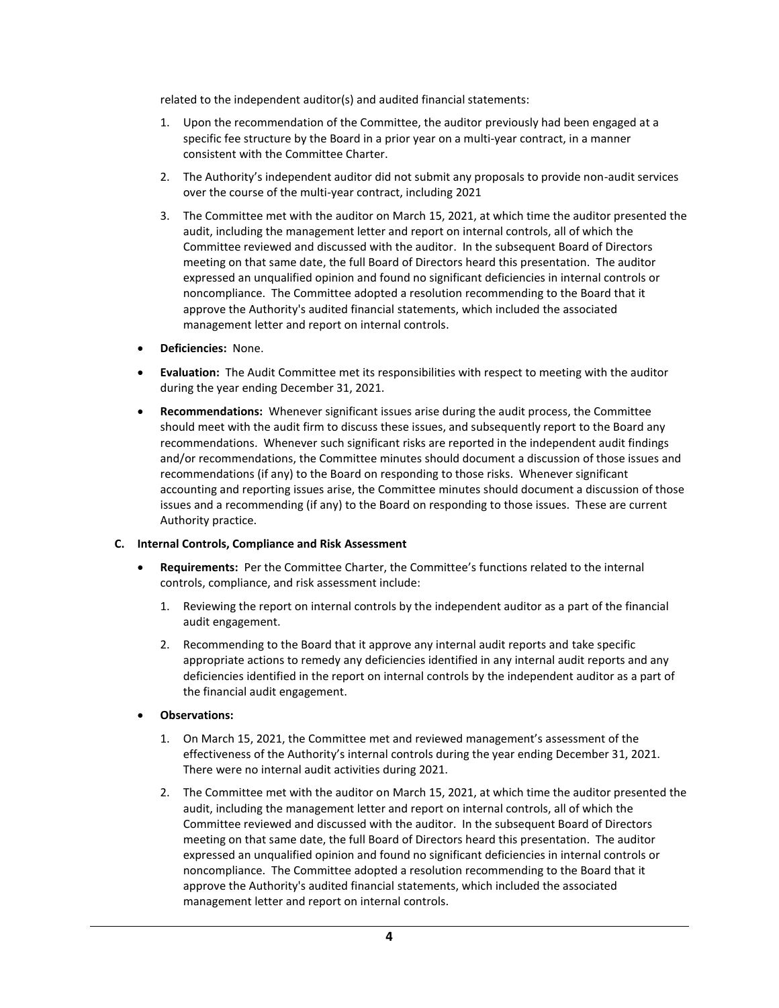related to the independent auditor(s) and audited financial statements:

- 1. Upon the recommendation of the Committee, the auditor previously had been engaged at a specific fee structure by the Board in a prior year on a multi-year contract, in a manner consistent with the Committee Charter.
- 2. The Authority's independent auditor did not submit any proposals to provide non-audit services over the course of the multi-year contract, including 2021
- 3. The Committee met with the auditor on March 15, 2021, at which time the auditor presented the audit, including the management letter and report on internal controls, all of which the Committee reviewed and discussed with the auditor. In the subsequent Board of Directors meeting on that same date, the full Board of Directors heard this presentation. The auditor expressed an unqualified opinion and found no significant deficiencies in internal controls or noncompliance. The Committee adopted a resolution recommending to the Board that it approve the Authority's audited financial statements, which included the associated management letter and report on internal controls.
- **Deficiencies:** None.
- **Evaluation:** The Audit Committee met its responsibilities with respect to meeting with the auditor during the year ending December 31, 2021.
- **Recommendations:** Whenever significant issues arise during the audit process, the Committee should meet with the audit firm to discuss these issues, and subsequently report to the Board any recommendations. Whenever such significant risks are reported in the independent audit findings and/or recommendations, the Committee minutes should document a discussion of those issues and recommendations (if any) to the Board on responding to those risks. Whenever significant accounting and reporting issues arise, the Committee minutes should document a discussion of those issues and a recommending (if any) to the Board on responding to those issues. These are current Authority practice.

#### **C. Internal Controls, Compliance and Risk Assessment**

- **Requirements:** Per the Committee Charter, the Committee's functions related to the internal controls, compliance, and risk assessment include:
	- 1. Reviewing the report on internal controls by the independent auditor as a part of the financial audit engagement.
	- 2. Recommending to the Board that it approve any internal audit reports and take specific appropriate actions to remedy any deficiencies identified in any internal audit reports and any deficiencies identified in the report on internal controls by the independent auditor as a part of the financial audit engagement.
- **Observations:**
	- 1. On March 15, 2021, the Committee met and reviewed management's assessment of the effectiveness of the Authority's internal controls during the year ending December 31, 2021. There were no internal audit activities during 2021.
	- 2. The Committee met with the auditor on March 15, 2021, at which time the auditor presented the audit, including the management letter and report on internal controls, all of which the Committee reviewed and discussed with the auditor. In the subsequent Board of Directors meeting on that same date, the full Board of Directors heard this presentation. The auditor expressed an unqualified opinion and found no significant deficiencies in internal controls or noncompliance. The Committee adopted a resolution recommending to the Board that it approve the Authority's audited financial statements, which included the associated management letter and report on internal controls.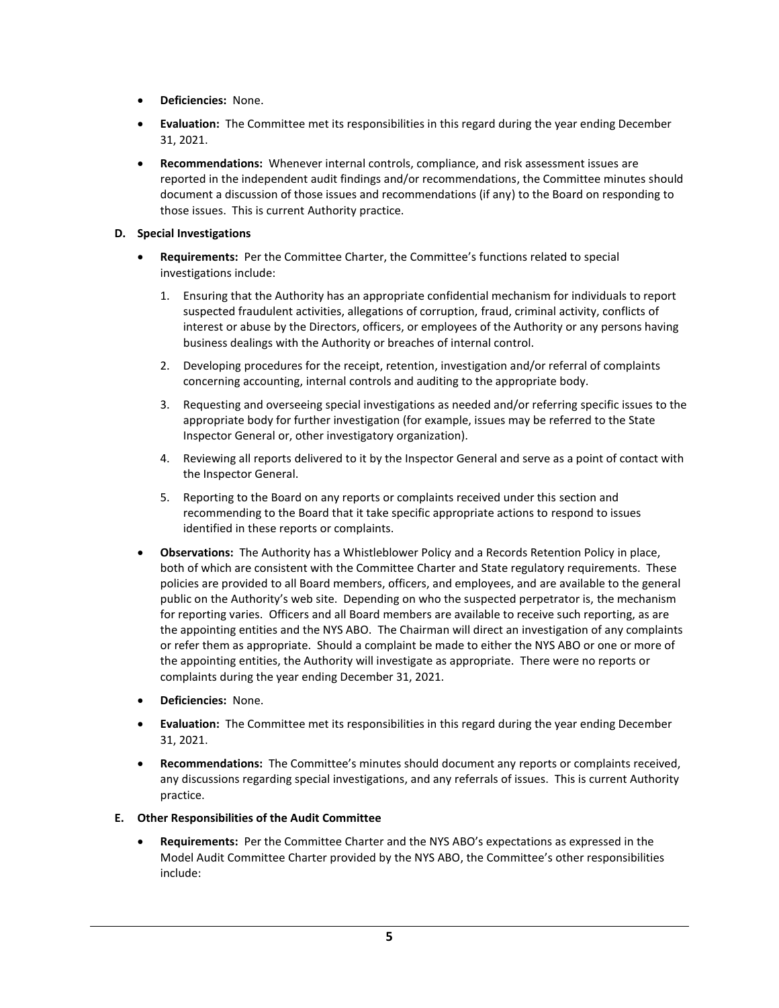- **Deficiencies:** None.
- **Evaluation:** The Committee met its responsibilities in this regard during the year ending December 31, 2021.
- **Recommendations:** Whenever internal controls, compliance, and risk assessment issues are reported in the independent audit findings and/or recommendations, the Committee minutes should document a discussion of those issues and recommendations (if any) to the Board on responding to those issues. This is current Authority practice.

#### **D. Special Investigations**

- **Requirements:** Per the Committee Charter, the Committee's functions related to special investigations include:
	- 1. Ensuring that the Authority has an appropriate confidential mechanism for individuals to report suspected fraudulent activities, allegations of corruption, fraud, criminal activity, conflicts of interest or abuse by the Directors, officers, or employees of the Authority or any persons having business dealings with the Authority or breaches of internal control.
	- 2. Developing procedures for the receipt, retention, investigation and/or referral of complaints concerning accounting, internal controls and auditing to the appropriate body.
	- 3. Requesting and overseeing special investigations as needed and/or referring specific issues to the appropriate body for further investigation (for example, issues may be referred to the State Inspector General or, other investigatory organization).
	- 4. Reviewing all reports delivered to it by the Inspector General and serve as a point of contact with the Inspector General.
	- 5. Reporting to the Board on any reports or complaints received under this section and recommending to the Board that it take specific appropriate actions to respond to issues identified in these reports or complaints.
- **Observations:** The Authority has a Whistleblower Policy and a Records Retention Policy in place, both of which are consistent with the Committee Charter and State regulatory requirements. These policies are provided to all Board members, officers, and employees, and are available to the general public on the Authority's web site.Depending on who the suspected perpetrator is, the mechanism for reporting varies. Officers and all Board members are available to receive such reporting, as are the appointing entities and the NYS ABO. The Chairman will direct an investigation of any complaints or refer them as appropriate. Should a complaint be made to either the NYS ABO or one or more of the appointing entities, the Authority will investigate as appropriate. There were no reports or complaints during the year ending December 31, 2021.
- **Deficiencies:** None.
- **Evaluation:** The Committee met its responsibilities in this regard during the year ending December 31, 2021.
- **Recommendations:** The Committee's minutes should document any reports or complaints received, any discussions regarding special investigations, and any referrals of issues. This is current Authority practice.

#### **E. Other Responsibilities of the Audit Committee**

• **Requirements:** Per the Committee Charter and the NYS ABO's expectations as expressed in the Model Audit Committee Charter provided by the NYS ABO, the Committee's other responsibilities include: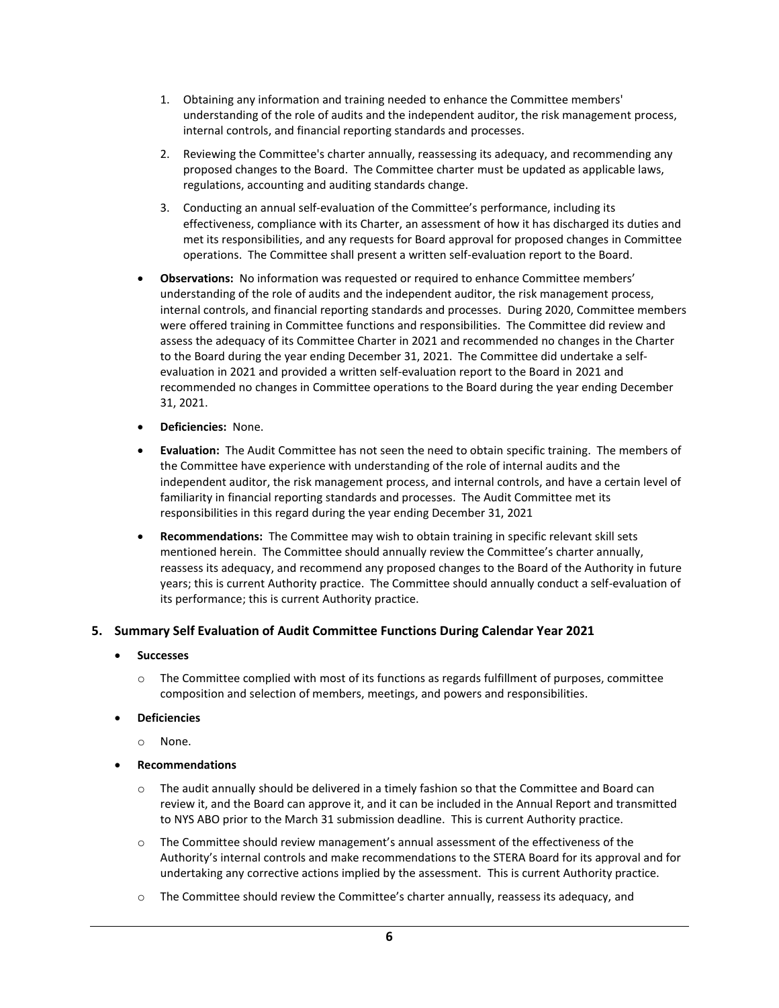- 1. Obtaining any information and training needed to enhance the Committee members' understanding of the role of audits and the independent auditor, the risk management process, internal controls, and financial reporting standards and processes.
- 2. Reviewing the Committee's charter annually, reassessing its adequacy, and recommending any proposed changes to the Board. The Committee charter must be updated as applicable laws, regulations, accounting and auditing standards change.
- 3. Conducting an annual self-evaluation of the Committee's performance, including its effectiveness, compliance with its Charter, an assessment of how it has discharged its duties and met its responsibilities, and any requests for Board approval for proposed changes in Committee operations. The Committee shall present a written self-evaluation report to the Board.
- **Observations:** No information was requested or required to enhance Committee members' understanding of the role of audits and the independent auditor, the risk management process, internal controls, and financial reporting standards and processes. During 2020, Committee members were offered training in Committee functions and responsibilities. The Committee did review and assess the adequacy of its Committee Charter in 2021 and recommended no changes in the Charter to the Board during the year ending December 31, 2021. The Committee did undertake a selfevaluation in 2021 and provided a written self-evaluation report to the Board in 2021 and recommended no changes in Committee operations to the Board during the year ending December 31, 2021.
- **Deficiencies:** None.
- **Evaluation:** The Audit Committee has not seen the need to obtain specific training. The members of the Committee have experience with understanding of the role of internal audits and the independent auditor, the risk management process, and internal controls, and have a certain level of familiarity in financial reporting standards and processes. The Audit Committee met its responsibilities in this regard during the year ending December 31, 2021
- **Recommendations:** The Committee may wish to obtain training in specific relevant skill sets mentioned herein. The Committee should annually review the Committee's charter annually, reassess its adequacy, and recommend any proposed changes to the Board of the Authority in future years; this is current Authority practice. The Committee should annually conduct a self-evaluation of its performance; this is current Authority practice.

## **5. Summary Self Evaluation of Audit Committee Functions During Calendar Year 2021**

- **Successes**
	- $\circ$  The Committee complied with most of its functions as regards fulfillment of purposes, committee composition and selection of members, meetings, and powers and responsibilities.
- **Deficiencies**
	- o None.
- **Recommendations**
	- $\circ$  The audit annually should be delivered in a timely fashion so that the Committee and Board can review it, and the Board can approve it, and it can be included in the Annual Report and transmitted to NYS ABO prior to the March 31 submission deadline. This is current Authority practice.
	- $\circ$  The Committee should review management's annual assessment of the effectiveness of the Authority's internal controls and make recommendations to the STERA Board for its approval and for undertaking any corrective actions implied by the assessment. This is current Authority practice.
	- o The Committee should review the Committee's charter annually, reassess its adequacy, and